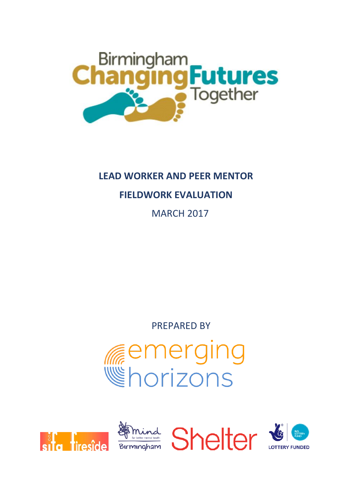

# **LEAD WORKER AND PEER MENTOR**

# **FIELDWORK EVALUATION**

MARCH 2017

PREPARED BY

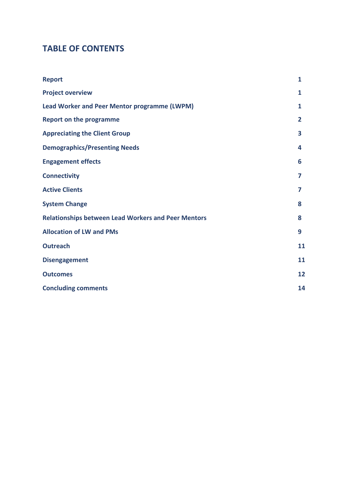### **TABLE OF CONTENTS**

| <b>Report</b>                                              | $\mathbf{1}$            |
|------------------------------------------------------------|-------------------------|
| <b>Project overview</b>                                    | 1                       |
| <b>Lead Worker and Peer Mentor programme (LWPM)</b>        | 1                       |
| <b>Report on the programme</b>                             | $\overline{2}$          |
| <b>Appreciating the Client Group</b>                       | $\overline{\mathbf{3}}$ |
| <b>Demographics/Presenting Needs</b>                       | 4                       |
| <b>Engagement effects</b>                                  | 6                       |
| <b>Connectivity</b>                                        | 7                       |
| <b>Active Clients</b>                                      | 7                       |
| <b>System Change</b>                                       | 8                       |
| <b>Relationships between Lead Workers and Peer Mentors</b> | 8                       |
| <b>Allocation of LW and PMs</b>                            | 9                       |
| <b>Outreach</b>                                            | 11                      |
| <b>Disengagement</b>                                       | 11                      |
| <b>Outcomes</b>                                            | 12                      |
| <b>Concluding comments</b>                                 | 14                      |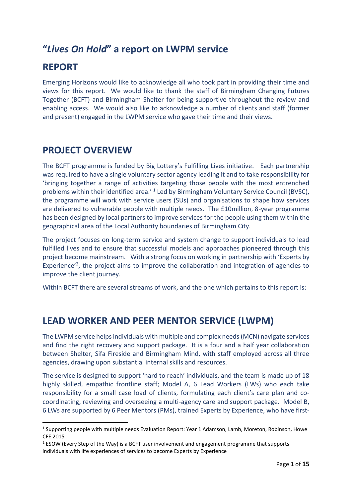## **"***Lives On Hold***" a report on LWPM service**

## **REPORT**

1

Emerging Horizons would like to acknowledge all who took part in providing their time and views for this report. We would like to thank the staff of Birmingham Changing Futures Together (BCFT) and Birmingham Shelter for being supportive throughout the review and enabling access. We would also like to acknowledge a number of clients and staff (former and present) engaged in the LWPM service who gave their time and their views.

### **PROJECT OVERVIEW**

The BCFT programme is funded by Big Lottery's Fulfilling Lives initiative. Each partnership was required to have a single voluntary sector agency leading it and to take responsibility for 'bringing together a range of activities targeting those people with the most entrenched problems within their identified area.'<sup>1</sup> Led by Birmingham Voluntary Service Council (BVSC), the programme will work with service users (SUs) and organisations to shape how services are delivered to vulnerable people with multiple needs. The £10million, 8-year programme has been designed by local partners to improve services for the people using them within the geographical area of the Local Authority boundaries of Birmingham City.

The project focuses on long-term service and system change to support individuals to lead fulfilled lives and to ensure that successful models and approaches pioneered through this project become mainstream. With a strong focus on working in partnership with 'Experts by Experience<sup>'2</sup>, the project aims to improve the collaboration and integration of agencies to improve the client journey.

Within BCFT there are several streams of work, and the one which pertains to this report is:

### **LEAD WORKER AND PEER MENTOR SERVICE (LWPM)**

The LWPM service helps individuals with multiple and complex needs (MCN) navigate services and find the right recovery and support package. It is a four and a half year collaboration between Shelter, Sifa Fireside and Birmingham Mind, with staff employed across all three agencies, drawing upon substantial internal skills and resources.

The service is designed to support 'hard to reach' individuals, and the team is made up of 18 highly skilled, empathic frontline staff; Model A, 6 Lead Workers (LWs) who each take responsibility for a small case load of clients, formulating each client's care plan and cocoordinating, reviewing and overseeing a multi-agency care and support package. Model B, 6 LWs are supported by 6 Peer Mentors (PMs), trained Experts by Experience, who have first-

<sup>&</sup>lt;sup>1</sup> Supporting people with multiple needs Evaluation Report: Year 1 Adamson, Lamb, Moreton, Robinson, Howe CFE 2015

 $2$  ESOW (Every Step of the Way) is a BCFT user involvement and engagement programme that supports individuals with life experiences of services to become Experts by Experience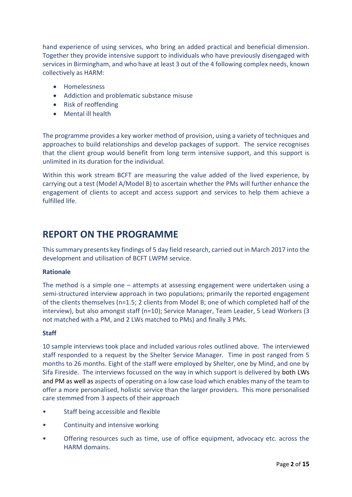hand experience of using services, who bring an added practical and beneficial dimension. Together they provide intensive support to individuals who have previously disengaged with services in Birmingham, and who have at least 3 out of the 4 following complex needs, known collectively as HARM:

- **•** Homelessness
- Addiction and problematic substance misuse
- Risk of reoffending
- Mental ill health

The programme provides a key worker method of provision, using a variety of techniques and approaches to build relationships and develop packages of support. The service recognises that the client group would benefit from long term intensive support, and this support is unlimited in its duration for the individual.

Within this work stream BCFT are measuring the value added of the lived experience, by carrying out a test (Model A/Model B) to ascertain whether the PMs will further enhance the engagement of clients to accept and access support and services to help them achieve a fulfilled life.

### **REPORT ON THE PROGRAMME**

This summary presents key findings of 5 day field research, carried out in March 2017 into the development and utilisation of BCFT LWPM service.

#### **Rationale**

The method is a simple one – attempts at assessing engagement were undertaken using a semi-structured interview approach in two populations; primarily the reported engagement of the clients themselves (n=1.5; 2 clients from Model B; one of which completed half of the interview), but also amongst staff (n=10); Service Manager, Team Leader, 5 Lead Workers (3 not matched with a PM, and 2 LWs matched to PMs) and finally 3 PMs.

#### **Staff**

10 sample interviews took place and included various roles outlined above. The interviewed staff responded to a request by the Shelter Service Manager. Time in post ranged from 5 months to 26 months. Eight of the staff were employed by Shelter, one by Mind, and one by Sifa Fireside. The interviews focussed on the way in which support is delivered by both LWs and PM as well as aspects of operating on a low case load which enables many of the team to offer a more personalised, holistic service than the larger providers. This more personalised care stemmed from 3 aspects of their approach

- Staff being accessible and flexible
- Continuity and intensive working
- Offering resources such as time, use of office equipment, advocacy etc. across the HARM domains.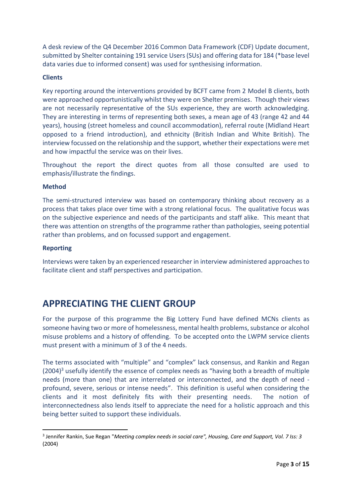A desk review of the Q4 December 2016 Common Data Framework (CDF) Update document, submitted by Shelter containing 191 service Users (SUs) and offering data for 184 (\*base level data varies due to informed consent) was used for synthesising information.

#### **Clients**

Key reporting around the interventions provided by BCFT came from 2 Model B clients, both were approached opportunistically whilst they were on Shelter premises. Though their views are not necessarily representative of the SUs experience, they are worth acknowledging. They are interesting in terms of representing both sexes, a mean age of 43 (range 42 and 44 years), housing (street homeless and council accommodation), referral route (Midland Heart opposed to a friend introduction), and ethnicity (British Indian and White British). The interview focussed on the relationship and the support, whether their expectations were met and how impactful the service was on their lives.

Throughout the report the direct quotes from all those consulted are used to emphasis/illustrate the findings.

#### **Method**

The semi-structured interview was based on contemporary thinking about recovery as a process that takes place over time with a strong relational focus. The qualitative focus was on the subjective experience and needs of the participants and staff alike. This meant that there was attention on strengths of the programme rather than pathologies, seeing potential rather than problems, and on focussed support and engagement.

#### **Reporting**

**.** 

Interviews were taken by an experienced researcher in interview administered approaches to facilitate client and staff perspectives and participation.

## **APPRECIATING THE CLIENT GROUP**

For the purpose of this programme the Big Lottery Fund have defined MCNs clients as someone having two or more of homelessness, mental health problems, substance or alcohol misuse problems and a history of offending. To be accepted onto the LWPM service clients must present with a minimum of 3 of the 4 needs.

The terms associated with "multiple" and "complex" lack consensus, and Rankin and Regan  $(2004)^3$  usefully identify the essence of complex needs as "having both a breadth of multiple needs (more than one) that are interrelated or interconnected, and the depth of need profound, severe, serious or intense needs". This definition is useful when considering the clients and it most definitely fits with their presenting needs. The notion of interconnectedness also lends itself to appreciate the need for a holistic approach and this being better suited to support these individuals.

<sup>3</sup> Jennifer Rankin, Sue Regan "*Meeting complex needs in social care", Housing, Care and Support, Vol. 7 Iss: 3* (2004)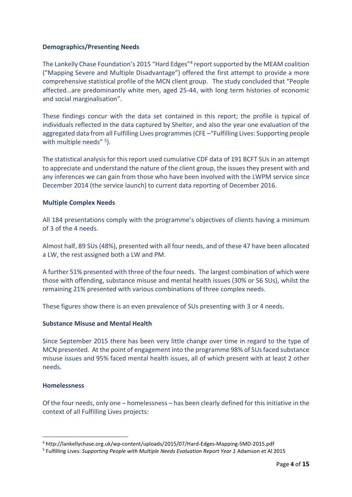#### **Demographics/Presenting Needs**

The Lankelly Chase Foundation's 2015 "Hard Edges"<sup>4</sup> report supported by the MEAM coalition ("Mapping Severe and Multiple Disadvantage") offered the first attempt to provide a more comprehensive statistical profile of the MCN client group. The study concluded that "People affected…are predominantly white men, aged 25-44, with long term histories of economic and social marginalisation".

These findings concur with the data set contained in this report; the profile is typical of individuals reflected in the data captured by Shelter, and also the year one evaluation of the aggregated data from all Fulfilling Lives programmes (CFE –"Fulfilling Lives: Supporting people with multiple needs" <sup>5</sup>).

The statistical analysis for this report used cumulative CDF data of 191 BCFT SUs in an attempt to appreciate and understand the nature of the client group, the issues they present with and any inferences we can gain from those who have been involved with the LWPM service since December 2014 (the service launch) to current data reporting of December 2016.

#### **Multiple Complex Needs**

All 184 presentations comply with the programme's objectives of clients having a minimum of 3 of the 4 needs.

Almost half, 89 SUs (48%), presented with all four needs, and of these 47 have been allocated a LW, the rest assigned both a LW and PM.

A further 51% presented with three of the four needs. The largest combination of which were those with offending, substance misuse and mental health issues (30% or 56 SUs), whilst the remaining 21% presented with various combinations of three complex needs.

These figures show there is an even prevalence of SUs presenting with 3 or 4 needs.

#### **Substance Misuse and Mental Health**

Since September 2015 there has been very little change over time in regard to the type of MCN presented. At the point of engagement into the programme 98% of SUs faced substance misuse issues and 95% faced mental health issues, all of which present with at least 2 other needs.

#### **Homelessness**

1

Of the four needs, only one – homelessness – has been clearly defined for this initiative in the context of all Fulfilling Lives projects:

<sup>4</sup> http://lankellychase.org.uk/wp-content/uploads/2015/07/Hard-Edges-Mapping-SMD-2015.pdf

<sup>5</sup> Fulfilling Lives: *Supporting People with Multiple Needs Evaluation Report Year 1* Adamson et Al 2015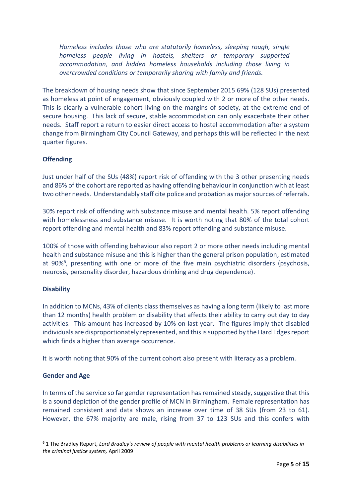*Homeless includes those who are statutorily homeless, sleeping rough, single homeless people living in hostels, shelters or temporary supported accommodation, and hidden homeless households including those living in overcrowded conditions or temporarily sharing with family and friends.*

The breakdown of housing needs show that since September 2015 69% (128 SUs) presented as homeless at point of engagement, obviously coupled with 2 or more of the other needs. This is clearly a vulnerable cohort living on the margins of society, at the extreme end of secure housing. This lack of secure, stable accommodation can only exacerbate their other needs. Staff report a return to easier direct access to hostel accommodation after a system change from Birmingham City Council Gateway, and perhaps this will be reflected in the next quarter figures.

#### **Offending**

Just under half of the SUs (48%) report risk of offending with the 3 other presenting needs and 86% of the cohort are reported as having offending behaviour in conjunction with at least two other needs. Understandably staff cite police and probation as major sources of referrals.

30% report risk of offending with substance misuse and mental health. 5% report offending with homelessness and substance misuse. It is worth noting that 80% of the total cohort report offending and mental health and 83% report offending and substance misuse.

100% of those with offending behaviour also report 2 or more other needs including mental health and substance misuse and this is higher than the general prison population, estimated at 90%<sup>6</sup>, presenting with one or more of the five main psychiatric disorders (psychosis, neurosis, personality disorder, hazardous drinking and drug dependence).

#### **Disability**

In addition to MCNs, 43% of clients class themselves as having a long term (likely to last more than 12 months) health problem or disability that affects their ability to carry out day to day activities. This amount has increased by 10% on last year. The figures imply that disabled individuals are disproportionately represented, and this is supported by the Hard Edges report which finds a higher than average occurrence.

It is worth noting that 90% of the current cohort also present with literacy as a problem.

#### **Gender and Age**

1

In terms of the service so far gender representation has remained steady, suggestive that this is a sound depiction of the gender profile of MCN in Birmingham. Female representation has remained consistent and data shows an increase over time of 38 SUs (from 23 to 61). However, the 67% majority are male, rising from 37 to 123 SUs and this confers with

<sup>6</sup> 1 The Bradley Report, *Lord Bradley's review of people with mental health problems or learning disabilities in the criminal justice system,* April 2009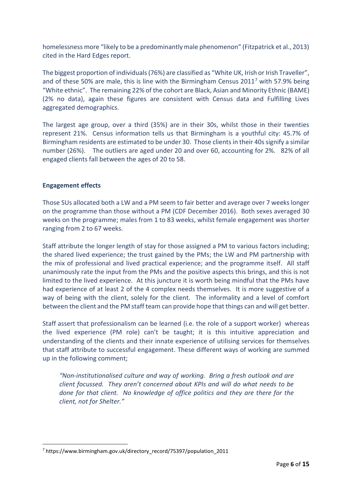homelessness more "likely to be a predominantly male phenomenon" (Fitzpatrick et al., 2013) cited in the Hard Edges report.

The biggest proportion of individuals (76%) are classified as "White UK, Irish or Irish Traveller", and of these 50% are male, this is line with the Birmingham Census 2011<sup>7</sup> with 57.9% being "White ethnic". The remaining 22% of the cohort are Black, Asian and Minority Ethnic (BAME) (2% no data), again these figures are consistent with Census data and Fulfilling Lives aggregated demographics.

The largest age group, over a third (35%) are in their 30s, whilst those in their twenties represent 21%. Census information tells us that Birmingham is a youthful city: 45.7% of Birmingham residents are estimated to be under 30. Those clientsin their 40s signify a similar number (26%). The outliers are aged under 20 and over 60, accounting for 2%. 82% of all engaged clients fall between the ages of 20 to 58.

#### **Engagement effects**

**.** 

Those SUs allocated both a LW and a PM seem to fair better and average over 7 weeks longer on the programme than those without a PM (CDF December 2016). Both sexes averaged 30 weeks on the programme; males from 1 to 83 weeks, whilst female engagement was shorter ranging from 2 to 67 weeks.

Staff attribute the longer length of stay for those assigned a PM to various factors including; the shared lived experience; the trust gained by the PMs; the LW and PM partnership with the mix of professional and lived practical experience; and the programme itself. All staff unanimously rate the input from the PMs and the positive aspects this brings, and this is not limited to the lived experience. At this juncture it is worth being mindful that the PMs have had experience of at least 2 of the 4 complex needs themselves. It is more suggestive of a way of being with the client, solely for the client. The informality and a level of comfort between the client and the PM staff team can provide hope that things can and will get better.

Staff assert that professionalism can be learned (i.e. the role of a support worker) whereas the lived experience (PM role) can't be taught; it is this intuitive appreciation and understanding of the clients and their innate experience of utilising services for themselves that staff attribute to successful engagement. These different ways of working are summed up in the following comment;

*"Non-institutionalised culture and way of working. Bring a fresh outlook and are client focussed. They aren't concerned about KPIs and will do what needs to be done for that client. No knowledge of office politics and they are there for the client, not for Shelter."*

<sup>7</sup> https://www.birmingham.gov.uk/directory\_record/75397/population\_2011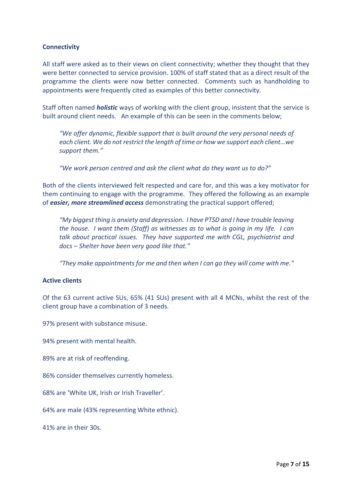#### **Connectivity**

All staff were asked as to their views on client connectivity; whether they thought that they were better connected to service provision. 100% of staff stated that as a direct result of the programme the clients were now better connected. Comments such as handholding to appointments were frequently cited as examples of this better connectivity.

Staff often named *holistic* ways of working with the client group, insistent that the service is built around client needs. An example of this can be seen in the comments below;

*"We offer dynamic, flexible support that is built around the very personal needs of each client. We do not restrict the length of time or how we support each client…we support them."* 

*"We work person centred and ask the client what do they want us to do?"*

Both of the clients interviewed felt respected and care for, and this was a key motivator for them continuing to engage with the programme. They offered the following as an example of *easier, more streamlined access* demonstrating the practical support offered;

*"My biggest thing is anxiety and depression. I have PTSD and I have trouble leaving the house. I want them (Staff) as witnesses as to what is going in my life. I can talk about practical issues. They have supported me with CGL, psychiatrist and docs – Shelter have been very good like that."*

*"They make appointments for me and then when I can go they will come with me."*

#### **Active clients**

Of the 63 current active SUs, 65% (41 SUs) present with all 4 MCNs, whilst the rest of the client group have a combination of 3 needs.

97% present with substance misuse.

94% present with mental health.

89% are at risk of reoffending.

86% consider themselves currently homeless.

68% are 'White UK, Irish or Irish Traveller'.

64% are male (43% representing White ethnic).

41% are in their 30s.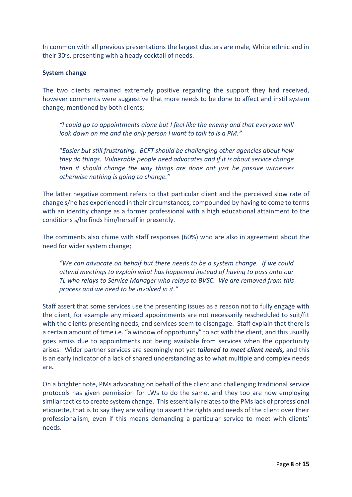In common with all previous presentations the largest clusters are male, White ethnic and in their 30's, presenting with a heady cocktail of needs.

#### **System change**

The two clients remained extremely positive regarding the support they had received, however comments were suggestive that more needs to be done to affect and instil system change, mentioned by both clients;

*"I could go to appointments alone but I feel like the enemy and that everyone will look down on me and the only person I want to talk to is a PM."*

"*Easier but still frustrating. BCFT should be challenging other agencies about how they do things. Vulnerable people need advocates and if it is about service change then it should change the way things are done not just be passive witnesses otherwise nothing is going to change."*

The latter negative comment refers to that particular client and the perceived slow rate of change s/he has experienced in their circumstances, compounded by having to come to terms with an identity change as a former professional with a high educational attainment to the conditions s/he finds him/herself in presently.

The comments also chime with staff responses (60%) who are also in agreement about the need for wider system change;

*"We can advocate on behalf but there needs to be a system change. If we could attend meetings to explain what has happened instead of having to pass onto our TL who relays to Service Manager who relays to BVSC. We are removed from this process and we need to be involved in it."*

Staff assert that some services use the presenting issues as a reason not to fully engage with the client, for example any missed appointments are not necessarily rescheduled to suit/fit with the clients presenting needs, and services seem to disengage. Staff explain that there is a certain amount of time i.e. "a window of opportunity" to act with the client, and this usually goes amiss due to appointments not being available from services when the opportunity arises. Wider partner services are seemingly not yet *tailored to meet client needs,* and this is an early indicator of a lack of shared understanding as to what multiple and complex needs are*.* 

On a brighter note, PMs advocating on behalf of the client and challenging traditional service protocols has given permission for LWs to do the same, and they too are now employing similar tactics to create system change. This essentially relates to the PMs lack of professional etiquette, that is to say they are willing to assert the rights and needs of the client over their professionalism, even if this means demanding a particular service to meet with clients' needs.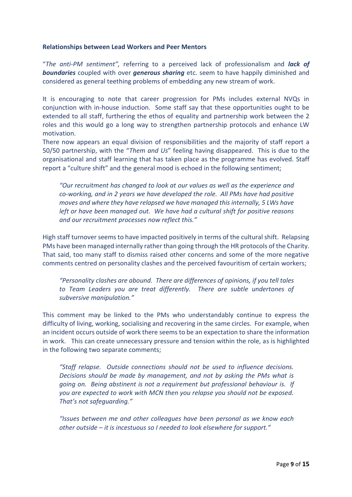#### **Relationships between Lead Workers and Peer Mentors**

"*The anti-PM sentiment",* referring to a perceived lack of professionalism and *lack of boundaries* coupled with over *generous sharing* etc. seem to have happily diminished and considered as general teething problems of embedding any new stream of work.

It is encouraging to note that career progression for PMs includes external NVQs in conjunction with in-house induction. Some staff say that these opportunities ought to be extended to all staff, furthering the ethos of equality and partnership work between the 2 roles and this would go a long way to strengthen partnership protocols and enhance LW motivation.

There now appears an equal division of responsibilities and the majority of staff report a 50/50 partnership, with the "*Them and Us*" feeling having disappeared. This is due to the organisational and staff learning that has taken place as the programme has evolved. Staff report a "culture shift" and the general mood is echoed in the following sentiment;

*"Our recruitment has changed to look at our values as well as the experience and co-working, and in 2 years we have developed the role. All PMs have had positive moves and where they have relapsed we have managed this internally, 5 LWs have left or have been managed out. We have had a cultural shift for positive reasons and our recruitment processes now reflect this."*

High staff turnover seems to have impacted positively in terms of the cultural shift. Relapsing PMs have been managed internally rather than going through the HR protocols of the Charity. That said, too many staff to dismiss raised other concerns and some of the more negative comments centred on personality clashes and the perceived favouritism of certain workers;

*"Personality clashes are abound. There are differences of opinions, if you tell tales to Team Leaders you are treat differently. There are subtle undertones of subversive manipulation."*

This comment may be linked to the PMs who understandably continue to express the difficulty of living, working, socialising and recovering in the same circles. For example, when an incident occurs outside of work there seems to be an expectation to share the information in work. This can create unnecessary pressure and tension within the role, as is highlighted in the following two separate comments;

*"Staff relapse. Outside connections should not be used to influence decisions. Decisions should be made by management, and not by asking the PMs what is going on. Being abstinent is not a requirement but professional behaviour is. If you are expected to work with MCN then you relapse you should not be exposed. That's not safeguarding."*

*"Issues between me and other colleagues have been personal as we know each other outside – it is incestuous so I needed to look elsewhere for support."*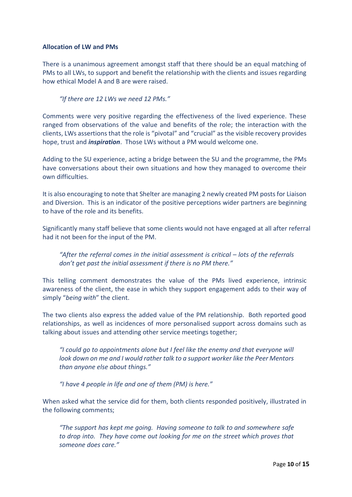#### **Allocation of LW and PMs**

There is a unanimous agreement amongst staff that there should be an equal matching of PMs to all LWs, to support and benefit the relationship with the clients and issues regarding how ethical Model A and B are were raised.

*"If there are 12 LWs we need 12 PMs."* 

Comments were very positive regarding the effectiveness of the lived experience. These ranged from observations of the value and benefits of the role; the interaction with the clients, LWs assertions that the role is "pivotal" and "crucial" as the visible recovery provides hope, trust and *inspiration*. Those LWs without a PM would welcome one.

Adding to the SU experience, acting a bridge between the SU and the programme, the PMs have conversations about their own situations and how they managed to overcome their own difficulties.

It is also encouraging to note that Shelter are managing 2 newly created PM posts for Liaison and Diversion. This is an indicator of the positive perceptions wider partners are beginning to have of the role and its benefits.

Significantly many staff believe that some clients would not have engaged at all after referral had it not been for the input of the PM.

"After the referral comes in the initial assessment is critical – lots of the referrals *don't get past the initial assessment if there is no PM there."*

This telling comment demonstrates the value of the PMs lived experience, intrinsic awareness of the client, the ease in which they support engagement adds to their way of simply "*being with*" the client.

The two clients also express the added value of the PM relationship. Both reported good relationships, as well as incidences of more personalised support across domains such as talking about issues and attending other service meetings together;

*"I could go to appointments alone but I feel like the enemy and that everyone will look down on me and I would rather talk to a support worker like the Peer Mentors than anyone else about things."*

*"I have 4 people in life and one of them (PM) is here."*

When asked what the service did for them, both clients responded positively, illustrated in the following comments;

*"The support has kept me going. Having someone to talk to and somewhere safe to drop into. They have come out looking for me on the street which proves that someone does care."*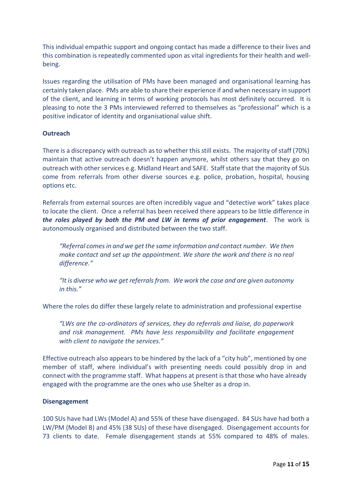This individual empathic support and ongoing contact has made a difference to their lives and this combination is repeatedly commented upon as vital ingredients for their health and wellbeing.

Issues regarding the utilisation of PMs have been managed and organisational learning has certainly taken place. PMs are able to share their experience if and when necessary in support of the client, and learning in terms of working protocols has most definitely occurred. It is pleasing to note the 3 PMs interviewed referred to themselves as "professional" which is a positive indicator of identity and organisational value shift.

#### **Outreach**

There is a discrepancy with outreach as to whether this still exists. The majority of staff (70%) maintain that active outreach doesn't happen anymore, whilst others say that they go on outreach with other services e.g. Midland Heart and SAFE. Staff state that the majority of SUs come from referrals from other diverse sources e.g. police, probation, hospital, housing options etc.

Referrals from external sources are often incredibly vague and "detective work" takes place to locate the client. Once a referral has been received there appears to be little difference in *the roles played by both the PM and LW in terms of prior engagement*. The work is autonomously organised and distributed between the two staff.

*"Referral comes in and we get the same information and contact number. We then make contact and set up the appointment. We share the work and there is no real difference."*

*"It is diverse who we get referrals from. We work the case and are given autonomy in this."*

Where the roles do differ these largely relate to administration and professional expertise

*"LWs are the co-ordinators of services, they do referrals and liaise, do paperwork and risk management. PMs have less responsibility and facilitate engagement with client to navigate the services."*

Effective outreach also appears to be hindered by the lack of a "city hub", mentioned by one member of staff, where individual's with presenting needs could possibly drop in and connect with the programme staff. What happens at present is that those who have already engaged with the programme are the ones who use Shelter as a drop in.

#### **Disengagement**

100 SUs have had LWs (Model A) and 55% of these have disengaged. 84 SUs have had both a LW/PM (Model B) and 45% (38 SUs) of these have disengaged. Disengagement accounts for 73 clients to date. Female disengagement stands at 55% compared to 48% of males.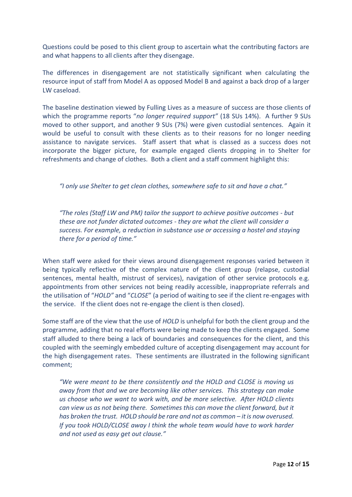Questions could be posed to this client group to ascertain what the contributing factors are and what happens to all clients after they disengage.

The differences in disengagement are not statistically significant when calculating the resource input of staff from Model A as opposed Model B and against a back drop of a larger LW caseload.

The baseline destination viewed by Fulling Lives as a measure of success are those clients of which the programme reports "*no longer required support"* (18 SUs 14%). A further 9 SUs moved to other support, and another 9 SUs (7%) were given custodial sentences. Again it would be useful to consult with these clients as to their reasons for no longer needing assistance to navigate services. Staff assert that what is classed as a success does not incorporate the bigger picture, for example engaged clients dropping in to Shelter for refreshments and change of clothes. Both a client and a staff comment highlight this:

*"I only use Shelter to get clean clothes, somewhere safe to sit and have a chat."*

*"The roles (Staff LW and PM) tailor the support to achieve positive outcomes - but these are not funder dictated outcomes - they are what the client will consider a success. For example, a reduction in substance use or accessing a hostel and staying there for a period of time."*

When staff were asked for their views around disengagement responses varied between it being typically reflective of the complex nature of the client group (relapse, custodial sentences, mental health, mistrust of services), navigation of other service protocols e.g. appointments from other services not being readily accessible, inappropriate referrals and the utilisation of "*HOLD"* and "*CLOSE*" (a period of waiting to see if the client re-engages with the service. If the client does not re-engage the client is then closed).

Some staff are of the view that the use of *HOLD* is unhelpful for both the client group and the programme, adding that no real efforts were being made to keep the clients engaged. Some staff alluded to there being a lack of boundaries and consequences for the client, and this coupled with the seemingly embedded culture of accepting disengagement may account for the high disengagement rates. These sentiments are illustrated in the following significant comment;

*"We were meant to be there consistently and the HOLD and CLOSE is moving us away from that and we are becoming like other services. This strategy can make us choose who we want to work with, and be more selective. After HOLD clients can view us as not being there. Sometimes this can move the client forward, but it has broken the trust. HOLD should be rare and not as common – it is now overused. If you took HOLD/CLOSE away I think the whole team would have to work harder and not used as easy get out clause."*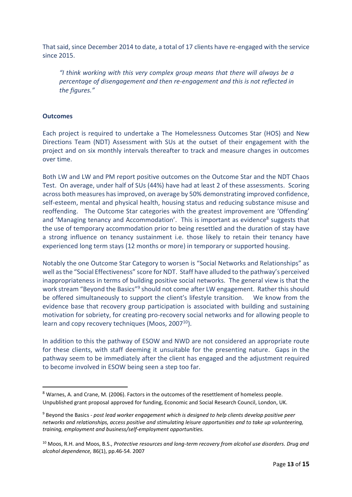That said, since December 2014 to date, a total of 17 clients have re-engaged with the service since 2015.

*"I think working with this very complex group means that there will always be a percentage of disengagement and then re-engagement and this is not reflected in the figures."*

#### **Outcomes**

**.** 

Each project is required to undertake a The Homelessness Outcomes Star (HOS) and New Directions Team (NDT) Assessment with SUs at the outset of their engagement with the project and on six monthly intervals thereafter to track and measure changes in outcomes over time.

Both LW and LW and PM report positive outcomes on the Outcome Star and the NDT Chaos Test. On average, under half of SUs (44%) have had at least 2 of these assessments. Scoring across both measures has improved, on average by 50% demonstrating improved confidence, self-esteem, mental and physical health, housing status and reducing substance misuse and reoffending. The Outcome Star categories with the greatest improvement are 'Offending' and 'Managing tenancy and Accommodation'. This is important as evidence<sup>8</sup> suggests that the use of temporary accommodation prior to being resettled and the duration of stay have a strong influence on tenancy sustainment i.e. those likely to retain their tenancy have experienced long term stays (12 months or more) in temporary or supported housing.

Notably the one Outcome Star Category to worsen is "Social Networks and Relationships" as well as the "Social Effectiveness" score for NDT. Staff have alluded to the pathway's perceived inappropriateness in terms of building positive social networks. The general view is that the work stream "Beyond the Basics"<sup>9</sup> should not come after LW engagement. Rather this should be offered simultaneously to support the client's lifestyle transition. We know from the evidence base that recovery group participation is associated with building and sustaining motivation for sobriety, for creating pro-recovery social networks and for allowing people to learn and copy recovery techniques (Moos, 2007<sup>10</sup>).

In addition to this the pathway of ESOW and NWD are not considered an appropriate route for these clients, with staff deeming it unsuitable for the presenting nature. Gaps in the pathway seem to be immediately after the client has engaged and the adjustment required to become involved in ESOW being seen a step too far.

<sup>8</sup> Warnes, A. and Crane, M. (2006). Factors in the outcomes of the resettlement of homeless people. Unpublished grant proposal approved for funding, Economic and Social Research Council, London, UK.

<sup>9</sup> Beyond the Basics - *post lead worker engagement which is designed to help clients develop positive peer networks and relationships, access positive and stimulating leisure opportunities and to take up volunteering, training, employment and business/self-employment opportunities.*

<sup>10</sup> Moos, R.H. and Moos, B.S., *Protective resources and long-term recovery from alcohol use disorders. Drug and alcohol dependence,* 86(1), pp.46-54. 2007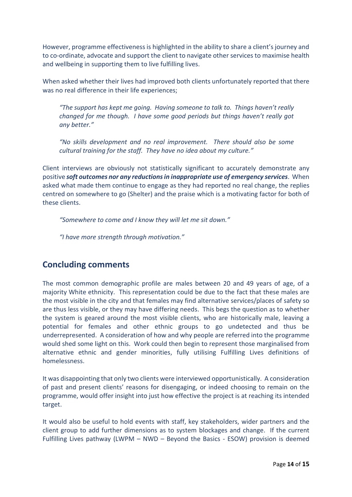However, programme effectiveness is highlighted in the ability to share a client's journey and to co-ordinate, advocate and support the client to navigate other services to maximise health and wellbeing in supporting them to live fulfilling lives.

When asked whether their lives had improved both clients unfortunately reported that there was no real difference in their life experiences;

*"The support has kept me going. Having someone to talk to. Things haven't really changed for me though. I have some good periods but things haven't really got any better."*

*"No skills development and no real improvement. There should also be some cultural training for the staff. They have no idea about my culture."*

Client interviews are obviously not statistically significant to accurately demonstrate any positive *soft outcomes nor any reductions in inappropriate use of emergency services*. When asked what made them continue to engage as they had reported no real change, the replies centred on somewhere to go (Shelter) and the praise which is a motivating factor for both of these clients.

*"Somewhere to come and I know they will let me sit down."*

*"I have more strength through motivation."*

### **Concluding comments**

The most common demographic profile are males between 20 and 49 years of age, of a majority White ethnicity. This representation could be due to the fact that these males are the most visible in the city and that females may find alternative services/places of safety so are thus less visible, or they may have differing needs. This begs the question as to whether the system is geared around the most visible clients, who are historically male, leaving a potential for females and other ethnic groups to go undetected and thus be underrepresented. A consideration of how and why people are referred into the programme would shed some light on this. Work could then begin to represent those marginalised from alternative ethnic and gender minorities, fully utilising Fulfilling Lives definitions of homelessness.

It was disappointing that only two clients were interviewed opportunistically. A consideration of past and present clients' reasons for disengaging, or indeed choosing to remain on the programme, would offer insight into just how effective the project is at reaching its intended target.

It would also be useful to hold events with staff, key stakeholders, wider partners and the client group to add further dimensions as to system blockages and change. If the current Fulfilling Lives pathway (LWPM – NWD – Beyond the Basics - ESOW) provision is deemed